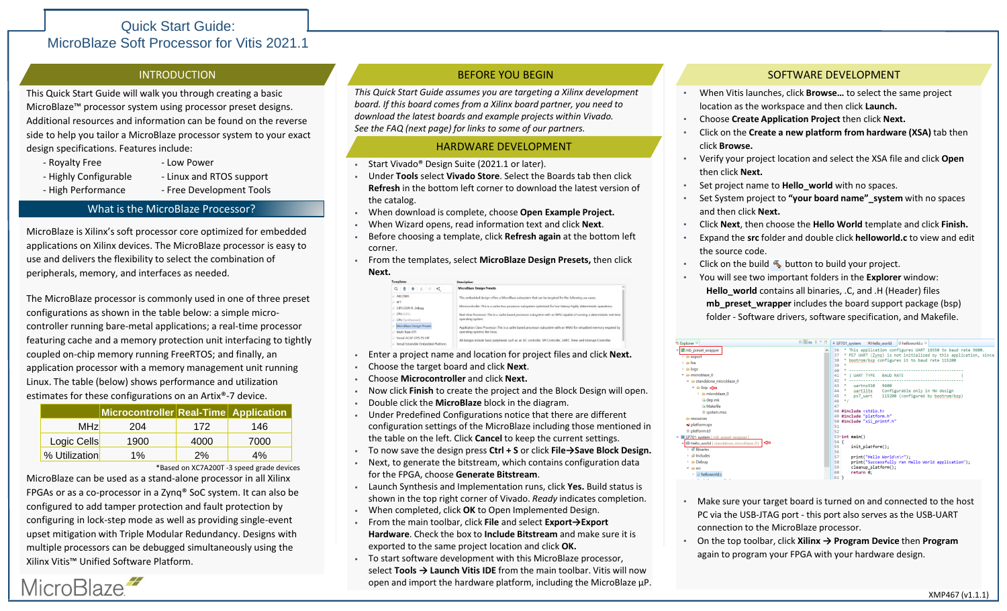# Quick Start Guide: MicroBlaze Soft Processor for Vitis 2021.1

This Quick Start Guide will walk you through creating a basic MicroBlaze™ processor system using processor preset designs. Additional resources and information can be found on the reverse side to help you tailor a MicroBlaze processor system to your exact design specifications. Features include:

- Royalty Free Low Power
- Highly Configurable Linux and RTOS support

MicroBlaze<sup>2</sup>

- High Performance - Free Development Tools

### What is the MicroBlaze Processor?

MicroBlaze is Xilinx's soft processor core optimized for embedded applications on Xilinx devices. The MicroBlaze processor is easy to use and delivers the flexibility to select the combination of peripherals, memory, and interfaces as needed.

The MicroBlaze processor is commonly used in one of three preset configurations as shown in the table below: a simple microcontroller running bare-metal applications; a real-time processor featuring cache and a memory protection unit interfacing to tightly coupled on-chip memory running FreeRTOS; and finally, an application processor with a memory management unit running Linux. The table (below) shows performance and utilization estimates for these configurations on an Artix®-7 device.

|               | Microcontroller Real-Time Application |      |      |
|---------------|---------------------------------------|------|------|
| <b>MHz</b>    | 204                                   | 172  | 146  |
| Logic Cells   | 1900                                  | 4000 | 7000 |
| % Utilization | $1\%$                                 | 2%   | 4%   |

\*Based on XC7A200T -3 speed grade devices

MicroBlaze can be used as a stand-alone processor in all Xilinx FPGAs or as a co-processor in a Zynq® SoC system. It can also be configured to add tamper protection and fault protection by configuring in lock-step mode as well as providing single-event upset mitigation with Triple Modular Redundancy. Designs with multiple processors can be debugged simultaneously using the Xilinx Vitis™ Unified Software Platform.

## **INTRODUCTION BEFORE YOU BEGIN**

*This Quick Start Guide assumes you are targeting a Xilinx development board. If this board comes from a Xilinx board partner, you need to download the latest boards and example projects within Vivado. See the FAQ (next page) for links to some of our partners.*

#### HARDWARE DEVELOPMENT

- Start Vivado® Design Suite (2021.1 or later).
- Under **Tools** select **Vivado Store**. Select the Boards tab then click **Refresh** in the bottom left corner to download the latest version of the catalog.
- When download is complete, choose **Open Example Project.**
- When Wizard opens, read information text and click **Next**.
- Before choosing a template, click **Refresh again** at the bottom left corner.
- From the templates, select **MicroBlaze Design Presets,** then click **Next.**

| <b>Templates</b>                    | <b>Description</b>                                                                                                                           |  |  |
|-------------------------------------|----------------------------------------------------------------------------------------------------------------------------------------------|--|--|
| $Q \equiv$<br>$\pm$ $\circ$         | <b>MicroBlaze Design Presets</b>                                                                                                             |  |  |
| AXI DMA                             | This embedded design offers a MicroBlaze subsystem that can be targeted for the following use cases.                                         |  |  |
| BFT                                 |                                                                                                                                              |  |  |
| CIPS DDR PL Debug                   | Microcontroller: This is a cache-less processor subsystem optimized for low-latency highly deterministic operations.                         |  |  |
| LE CPU (HDE)                        | Real-time Processor: This is a cache based processor subsystem with an MPU capable of running a deterministic real-time<br>operating system. |  |  |
| CPU (Synthesized)                   |                                                                                                                                              |  |  |
| MicroBlaze Design Presets           | Application Class Processor: This is a cache based processor subsystem with an MMU for virtualized memory required by                        |  |  |
| Multi-Rate GTY                      | operating systems like Linux.                                                                                                                |  |  |
| Versal ACAP CIPS PS VIP             | All designs include basic peripherals such as an I2C controller. SPI Controller, UART, Timer and Interrupt Controller.                       |  |  |
| Versal Extensible Embedded Platform |                                                                                                                                              |  |  |

- Enter a project name and location for project files and click **Next.**
- Choose the target board and click **Next**.
- Choose **Microcontroller** and click **Next.**
- Now click **Finish** to create the project and the Block Design will open.
- Double click the **MicroBlaze** block in the diagram.
- Under Predefined Configurations notice that there are different configuration settings of the MicroBlaze including those mentioned in the table on the left. Click **Cancel** to keep the current settings.
- To now save the design press **Ctrl + S** or click **File→Save Block Design.**
- Next, to generate the bitstream, which contains configuration data for the FPGA, choose **Generate Bitstream**.
- Launch Synthesis and Implementation runs, click **Yes.** Build status is shown in the top right corner of Vivado. *Ready* indicates completion.
- When completed, click **OK** to Open Implemented Design.
- From the main toolbar, click **File** and select **Export→Export Hardware**. Check the box to **Include Bitstream** and make sure it is exported to the same project location and click **OK.**
- To start software development with this MicroBlaze processor, select **Tools → Launch Vitis IDE** from the main toolbar. Vitis will now open and import the hardware platform, including the MicroBlaze μP.

### SOFTWARE DEVELOPMENT

- When Vitis launches, click **Browse…** to select the same project location as the workspace and then click **Launch.**
- Choose **Create Application Project** then click **Next.**
- Click on the **Create a new platform from hardware (XSA)** tab then click **Browse.**
- Verify your project location and select the XSA file and click **Open**  then click **Next.**
- Set project name to **Hello** world with no spaces.
- Set System project to **"your board name"\_system** with no spaces and then click **Next.**
- Click **Next**, then choose the **Hello World** template and click **Finish.**
- Expand the **src** folder and double click **helloworld.c** to view and edit the source code.
- Click on the build  $\blacklozenge$  button to build your project.
- You will see two important folders in the **Explorer** window: **Hello\_world** contains all binaries, .C, and .H (Header) files **mb\_preset\_wrapper** includes the board support package (bsp) folder - Software drivers, software specification, and Makefile.

- Make sure your target board is turned on and connected to the host PC via the USB-JTAG port - this port also serves as the USB-UART connection to the MicroBlaze processor.
- On the top toolbar, click **Xilinx → Program Device** then **Program**  again to program your FPGA with your hardware design.